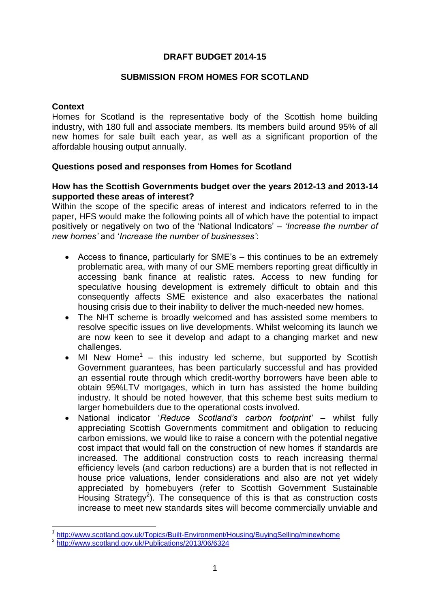# **DRAFT BUDGET 2014-15**

### **SUBMISSION FROM HOMES FOR SCOTLAND**

### **Context**

Homes for Scotland is the representative body of the Scottish home building industry, with 180 full and associate members. Its members build around 95% of all new homes for sale built each year, as well as a significant proportion of the affordable housing output annually.

### **Questions posed and responses from Homes for Scotland**

### **How has the Scottish Governments budget over the years 2012-13 and 2013-14 supported these areas of interest?**

Within the scope of the specific areas of interest and indicators referred to in the paper, HFS would make the following points all of which have the potential to impact positively or negatively on two of the 'National Indicators' – *'Increase the number of new homes'* and '*Increase the number of businesses'*:

- Access to finance, particularly for SME's this continues to be an extremely problematic area, with many of our SME members reporting great difficultly in accessing bank finance at realistic rates. Access to new funding for speculative housing development is extremely difficult to obtain and this consequently affects SME existence and also exacerbates the national housing crisis due to their inability to deliver the much-needed new homes.
- The NHT scheme is broadly welcomed and has assisted some members to resolve specific issues on live developments. Whilst welcoming its launch we are now keen to see it develop and adapt to a changing market and new challenges.
- MI New Home<sup>1</sup> this industry led scheme, but supported by Scottish Government guarantees, has been particularly successful and has provided an essential route through which credit-worthy borrowers have been able to obtain 95%LTV mortgages, which in turn has assisted the home building industry. It should be noted however, that this scheme best suits medium to larger homebuilders due to the operational costs involved.
- National indicator '*Reduce Scotland's carbon footprint'* whilst fully appreciating Scottish Governments commitment and obligation to reducing carbon emissions, we would like to raise a concern with the potential negative cost impact that would fall on the construction of new homes if standards are increased. The additional construction costs to reach increasing thermal efficiency levels (and carbon reductions) are a burden that is not reflected in house price valuations, lender considerations and also are not yet widely appreciated by homebuyers (refer to Scottish Government Sustainable Housing Strategy<sup>2</sup>). The consequence of this is that as construction costs increase to meet new standards sites will become commercially unviable and

 $\overline{\phantom{a}}$ 1 <http://www.scotland.gov.uk/Topics/Built-Environment/Housing/BuyingSelling/minewhome>

<sup>&</sup>lt;sup>2</sup> <http://www.scotland.gov.uk/Publications/2013/06/6324>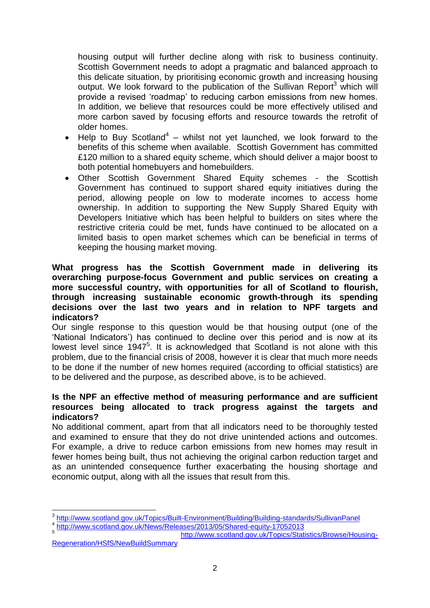housing output will further decline along with risk to business continuity. Scottish Government needs to adopt a pragmatic and balanced approach to this delicate situation, by prioritising economic growth and increasing housing output. We look forward to the publication of the Sullivan Report<sup>3</sup> which will provide a revised 'roadmap' to reducing carbon emissions from new homes. In addition, we believe that resources could be more effectively utilised and more carbon saved by focusing efforts and resource towards the retrofit of older homes.

- $\bullet$  Help to Buy Scotland<sup>4</sup> whilst not yet launched, we look forward to the benefits of this scheme when available. Scottish Government has committed £120 million to a shared equity scheme, which should deliver a major boost to both potential homebuyers and homebuilders.
- Other Scottish Government Shared Equity schemes the Scottish Government has continued to support shared equity initiatives during the period, allowing people on low to moderate incomes to access home ownership. In addition to supporting the New Supply Shared Equity with Developers Initiative which has been helpful to builders on sites where the restrictive criteria could be met, funds have continued to be allocated on a limited basis to open market schemes which can be beneficial in terms of keeping the housing market moving.

# **What progress has the Scottish Government made in delivering its overarching purpose-focus Government and public services on creating a more successful country, with opportunities for all of Scotland to flourish, through increasing sustainable economic growth-through its spending decisions over the last two years and in relation to NPF targets and indicators?**

Our single response to this question would be that housing output (one of the 'National Indicators') has continued to decline over this period and is now at its lowest level since 1947<sup>5</sup>. It is acknowledged that Scotland is not alone with this problem, due to the financial crisis of 2008, however it is clear that much more needs to be done if the number of new homes required (according to official statistics) are to be delivered and the purpose, as described above, is to be achieved.

# **Is the NPF an effective method of measuring performance and are sufficient resources being allocated to track progress against the targets and indicators?**

No additional comment, apart from that all indicators need to be thoroughly tested and examined to ensure that they do not drive unintended actions and outcomes. For example, a drive to reduce carbon emissions from new homes may result in fewer homes being built, thus not achieving the original carbon reduction target and as an unintended consequence further exacerbating the housing shortage and economic output, along with all the issues that result from this.

4 <http://www.scotland.gov.uk/News/Releases/2013/05/Shared-equity-17052013>

 3 <http://www.scotland.gov.uk/Topics/Built-Environment/Building/Building-standards/SullivanPanel>

<sup>5</sup> [http://www.scotland.gov.uk/Topics/Statistics/Browse/Housing-](http://www.scotland.gov.uk/Topics/Statistics/Browse/Housing-Regeneration/HSfS/NewBuildSummary)[Regeneration/HSfS/NewBuildSummary](http://www.scotland.gov.uk/Topics/Statistics/Browse/Housing-Regeneration/HSfS/NewBuildSummary)